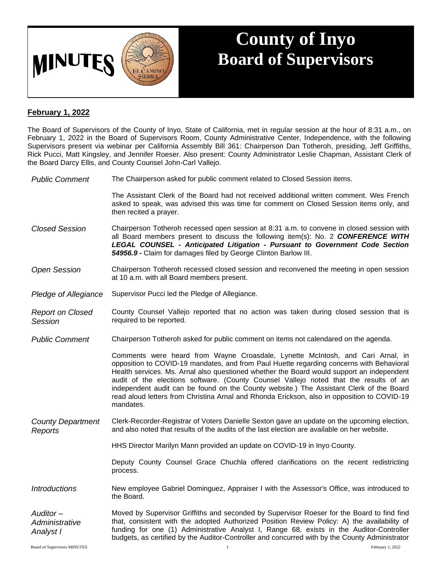

## **County of Inyo Board of Supervisors**

## **February 1, 2022**

The Board of Supervisors of the County of Inyo, State of California, met in regular session at the hour of 8:31 a.m., on February 1, 2022 in the Board of Supervisors Room, County Administrative Center, Independence, with the following Supervisors present via webinar per California Assembly Bill 361: Chairperson Dan Totheroh, presiding, Jeff Griffiths, Rick Pucci, Matt Kingsley, and Jennifer Roeser. Also present: County Administrator Leslie Chapman, Assistant Clerk of the Board Darcy Ellis, and County Counsel John-Carl Vallejo.

*Public Comment* The Chairperson asked for public comment related to Closed Session items.

The Assistant Clerk of the Board had not received additional written comment. Wes French asked to speak, was advised this was time for comment on Closed Session items only, and then recited a prayer.

- *Closed Session* Chairperson Totheroh recessed open session at 8:31 a.m. to convene in closed session with all Board members present to discuss the following item(s): No. 2 *CONFERENCE WITH LEGAL COUNSEL - Anticipated Litigation - Pursuant to Government Code Section 54956.9 -* Claim for damages filed by George Clinton Barlow III.
- *Open Session* Chairperson Totheroh recessed closed session and reconvened the meeting in open session at 10 a.m. with all Board members present.
- *Pledge of Allegiance* Supervisor Pucci led the Pledge of Allegiance.
- *Report on Closed Session* County Counsel Vallejo reported that no action was taken during closed session that is required to be reported.
- *Public Comment* Chairperson Totheroh asked for public comment on items not calendared on the agenda.

Comments were heard from Wayne Croasdale, Lynette McIntosh, and Cari Arnal, in opposition to COVID-19 mandates, and from Paul Huette regarding concerns with Behavioral Health services. Ms. Arnal also questioned whether the Board would support an independent audit of the elections software. (County Counsel Vallejo noted that the results of an independent audit can be found on the County website.) The Assistant Clerk of the Board read aloud letters from Christina Arnal and Rhonda Erickson, also in opposition to COVID-19 mandates.

- *County Department Reports* Clerk-Recorder-Registrar of Voters Danielle Sexton gave an update on the upcoming election, and also noted that results of the audits of the last election are available on her website.
	- HHS Director Marilyn Mann provided an update on COVID-19 in Inyo County.

Deputy County Counsel Grace Chuchla offered clarifications on the recent redistricting process.

*Introductions* New employee Gabriel Dominguez, Appraiser I with the Assessor's Office, was introduced to the Board.

*Auditor – Administrative Analyst I* Moved by Supervisor Griffiths and seconded by Supervisor Roeser for the Board to find find that, consistent with the adopted Authorized Position Review Policy: A) the availability of funding for one (1) Administrative Analyst I, Range 68, exists in the Auditor-Controller budgets, as certified by the Auditor-Controller and concurred with by the County Administrator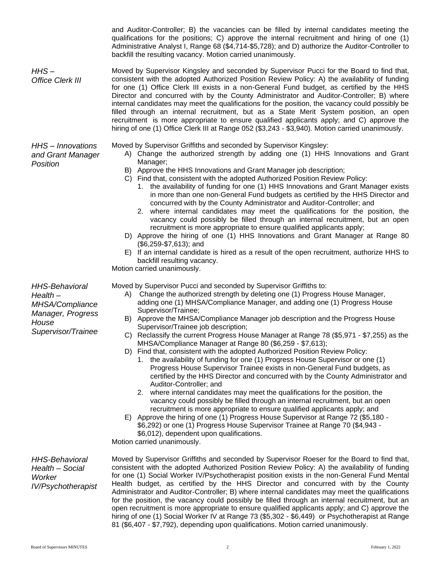|                                                                                                           | qualifications for the positions; C) approve the internal recruitment and hiring of one (1)<br>Administrative Analyst I, Range 68 (\$4,714-\$5,728); and D) authorize the Auditor-Controller to<br>backfill the resulting vacancy. Motion carried unanimously.                                                                                                                                                                                                                                                                                                                                                                                                                                                                                                                                                                                                                                                                                                                                                                                                                                                                                                                                                                                                                                                                                                                                          |
|-----------------------------------------------------------------------------------------------------------|---------------------------------------------------------------------------------------------------------------------------------------------------------------------------------------------------------------------------------------------------------------------------------------------------------------------------------------------------------------------------------------------------------------------------------------------------------------------------------------------------------------------------------------------------------------------------------------------------------------------------------------------------------------------------------------------------------------------------------------------------------------------------------------------------------------------------------------------------------------------------------------------------------------------------------------------------------------------------------------------------------------------------------------------------------------------------------------------------------------------------------------------------------------------------------------------------------------------------------------------------------------------------------------------------------------------------------------------------------------------------------------------------------|
| $H$ HS-<br>Office Clerk III                                                                               | Moved by Supervisor Kingsley and seconded by Supervisor Pucci for the Board to find that,<br>consistent with the adopted Authorized Position Review Policy: A) the availability of funding<br>for one (1) Office Clerk III exists in a non-General Fund budget, as certified by the HHS<br>Director and concurred with by the County Administrator and Auditor-Controller; B) where<br>internal candidates may meet the qualifications for the position, the vacancy could possibly be<br>filled through an internal recruitment, but as a State Merit System position, an open<br>recruitment is more appropriate to ensure qualified applicants apply; and C) approve the<br>hiring of one (1) Office Clerk III at Range 052 (\$3,243 - \$3,940). Motion carried unanimously.                                                                                                                                                                                                                                                                                                                                                                                                                                                                                                                                                                                                                         |
| HHS - Innovations<br>and Grant Manager<br>Position                                                        | Moved by Supervisor Griffiths and seconded by Supervisor Kingsley:<br>A) Change the authorized strength by adding one (1) HHS Innovations and Grant<br>Manager;<br>B) Approve the HHS Innovations and Grant Manager job description;<br>C) Find that, consistent with the adopted Authorized Position Review Policy:<br>1. the availability of funding for one (1) HHS Innovations and Grant Manager exists<br>in more than one non-General Fund budgets as certified by the HHS Director and<br>concurred with by the County Administrator and Auditor-Controller; and<br>where internal candidates may meet the qualifications for the position, the<br>2.<br>vacancy could possibly be filled through an internal recruitment, but an open<br>recruitment is more appropriate to ensure qualified applicants apply;<br>D) Approve the hiring of one (1) HHS Innovations and Grant Manager at Range 80<br>$($6,259-$7,613);$ and<br>E) If an internal candidate is hired as a result of the open recruitment, authorize HHS to<br>backfill resulting vacancy.<br>Motion carried unanimously.                                                                                                                                                                                                                                                                                                          |
| <b>HHS-Behavioral</b><br>$Health-$<br>MHSA/Compliance<br>Manager, Progress<br>House<br>Supervisor/Trainee | Moved by Supervisor Pucci and seconded by Supervisor Griffiths to:<br>Change the authorized strength by deleting one (1) Progress House Manager,<br>A)<br>adding one (1) MHSA/Compliance Manager, and adding one (1) Progress House<br>Supervisor/Trainee;<br>B) Approve the MHSA/Compliance Manager job description and the Progress House<br>Supervisor/Trainee job description;<br>C) Reclassify the current Progress House Manager at Range 78 (\$5,971 - \$7,255) as the<br>MHSA/Compliance Manager at Range 80 (\$6,259 - \$7,613);<br>D) Find that, consistent with the adopted Authorized Position Review Policy:<br>1. the availability of funding for one (1) Progress House Supervisor or one (1)<br>Progress House Supervisor Trainee exists in non-General Fund budgets, as<br>certified by the HHS Director and concurred with by the County Administrator and<br>Auditor-Controller; and<br>2. where internal candidates may meet the qualifications for the position, the<br>vacancy could possibly be filled through an internal recruitment, but an open<br>recruitment is more appropriate to ensure qualified applicants apply; and<br>E) Approve the hiring of one (1) Progress House Supervisor at Range 72 (\$5,180 -<br>\$6,292) or one (1) Progress House Supervisor Trainee at Range 70 (\$4,943 -<br>\$6,012), dependent upon qualifications.<br>Motion carried unanimously. |

and Auditor-Controller; B) the vacancies can be filled by internal candidates meeting the

*HHS-Behavioral Health – Social Worker IV/Psychotherapist* Moved by Supervisor Griffiths and seconded by Supervisor Roeser for the Board to find that, consistent with the adopted Authorized Position Review Policy: A) the availability of funding for one (1) Social Worker IV/Psychotherapist position exists in the non-General Fund Mental Health budget, as certified by the HHS Director and concurred with by the County Administrator and Auditor-Controller; B) where internal candidates may meet the qualifications for the position, the vacancy could possibly be filled through an internal recruitment, but an open recruitment is more appropriate to ensure qualified applicants apply; and C) approve the hiring of one (1) Social Worker IV at Range 73 (\$5,302 - \$6,449) or Psychotherapist at Range 81 (\$6,407 - \$7,792), depending upon qualifications. Motion carried unanimously.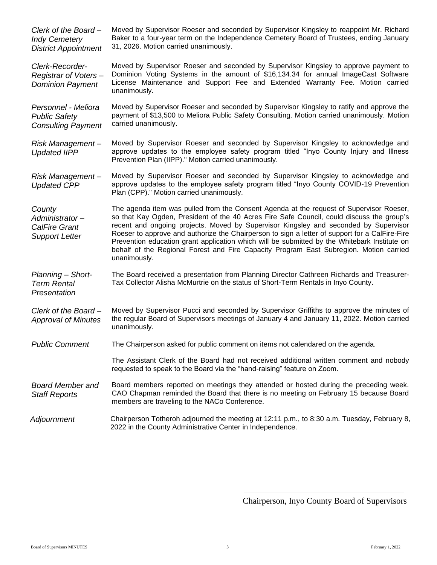| Clerk of the Board-<br><b>Indy Cemetery</b><br><b>District Appointment</b> | Moved by Supervisor Roeser and seconded by Supervisor Kingsley to reappoint Mr. Richard<br>Baker to a four-year term on the Independence Cemetery Board of Trustees, ending January<br>31, 2026. Motion carried unanimously.                                                                                                                                                                                                                                                                                                                                                             |
|----------------------------------------------------------------------------|------------------------------------------------------------------------------------------------------------------------------------------------------------------------------------------------------------------------------------------------------------------------------------------------------------------------------------------------------------------------------------------------------------------------------------------------------------------------------------------------------------------------------------------------------------------------------------------|
| Clerk-Recorder-<br>Registrar of Voters-<br><b>Dominion Payment</b>         | Moved by Supervisor Roeser and seconded by Supervisor Kingsley to approve payment to<br>Dominion Voting Systems in the amount of \$16,134.34 for annual ImageCast Software<br>License Maintenance and Support Fee and Extended Warranty Fee. Motion carried<br>unanimously.                                                                                                                                                                                                                                                                                                              |
| Personnel - Meliora<br><b>Public Safety</b><br><b>Consulting Payment</b>   | Moved by Supervisor Roeser and seconded by Supervisor Kingsley to ratify and approve the<br>payment of \$13,500 to Meliora Public Safety Consulting. Motion carried unanimously. Motion<br>carried unanimously.                                                                                                                                                                                                                                                                                                                                                                          |
| Risk Management-<br><b>Updated IIPP</b>                                    | Moved by Supervisor Roeser and seconded by Supervisor Kingsley to acknowledge and<br>approve updates to the employee safety program titled "Inyo County Injury and Illness<br>Prevention Plan (IIPP)." Motion carried unanimously.                                                                                                                                                                                                                                                                                                                                                       |
| Risk Management-<br><b>Updated CPP</b>                                     | Moved by Supervisor Roeser and seconded by Supervisor Kingsley to acknowledge and<br>approve updates to the employee safety program titled "Inyo County COVID-19 Prevention<br>Plan (CPP)." Motion carried unanimously.                                                                                                                                                                                                                                                                                                                                                                  |
| County<br>Administrator-<br>CalFire Grant<br><b>Support Letter</b>         | The agenda item was pulled from the Consent Agenda at the request of Supervisor Roeser,<br>so that Kay Ogden, President of the 40 Acres Fire Safe Council, could discuss the group's<br>recent and ongoing projects. Moved by Supervisor Kingsley and seconded by Supervisor<br>Roeser to approve and authorize the Chairperson to sign a letter of support for a CalFire-Fire<br>Prevention education grant application which will be submitted by the Whitebark Institute on<br>behalf of the Regional Forest and Fire Capacity Program East Subregion. Motion carried<br>unanimously. |
| Planning - Short-<br><b>Term Rental</b><br>Presentation                    | The Board received a presentation from Planning Director Cathreen Richards and Treasurer-<br>Tax Collector Alisha McMurtrie on the status of Short-Term Rentals in Inyo County.                                                                                                                                                                                                                                                                                                                                                                                                          |
| Clerk of the Board-<br><b>Approval of Minutes</b>                          | Moved by Supervisor Pucci and seconded by Supervisor Griffiths to approve the minutes of<br>the regular Board of Supervisors meetings of January 4 and January 11, 2022. Motion carried<br>unanimously.                                                                                                                                                                                                                                                                                                                                                                                  |
| <b>Public Comment</b>                                                      | The Chairperson asked for public comment on items not calendared on the agenda.                                                                                                                                                                                                                                                                                                                                                                                                                                                                                                          |
|                                                                            | The Assistant Clerk of the Board had not received additional written comment and nobody<br>requested to speak to the Board via the "hand-raising" feature on Zoom.                                                                                                                                                                                                                                                                                                                                                                                                                       |
| <b>Board Member and</b><br><b>Staff Reports</b>                            | Board members reported on meetings they attended or hosted during the preceding week.<br>CAO Chapman reminded the Board that there is no meeting on February 15 because Board<br>members are traveling to the NACo Conference.                                                                                                                                                                                                                                                                                                                                                           |
| Adjournment                                                                | Chairperson Totheroh adjourned the meeting at 12:11 p.m., to 8:30 a.m. Tuesday, February 8,<br>2022 in the County Administrative Center in Independence.                                                                                                                                                                                                                                                                                                                                                                                                                                 |

Chairperson, Inyo County Board of Supervisors